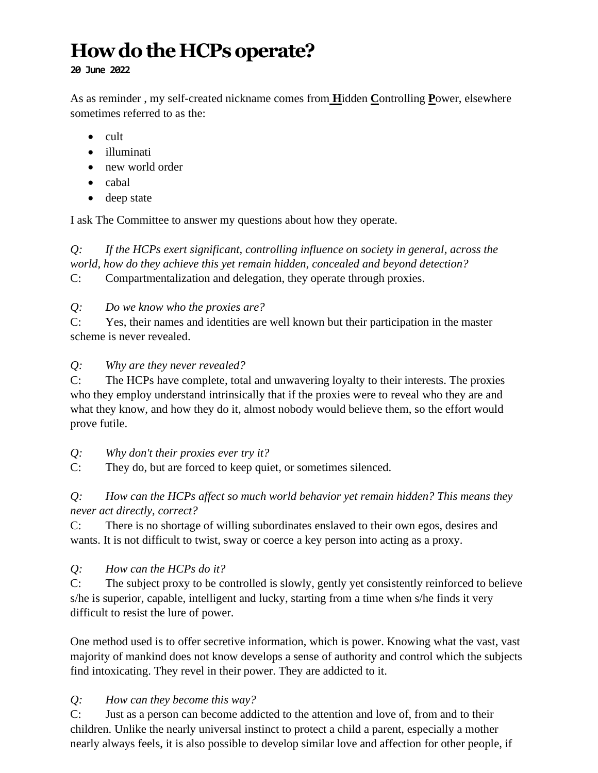# **How dothe HCPs operate?**

**20 June 2022**

As as reminder , my self-created nickname comes from **H**idden **C**ontrolling **P**ower, elsewhere sometimes referred to as the:

- cult
- illuminati
- new world order
- cabal
- deep state

I ask The Committee to answer my questions about how they operate.

*Q: If the HCPs exert significant, controlling influence on society in general, across the world, how do they achieve this yet remain hidden, concealed and beyond detection?*

C: Compartmentalization and delegation, they operate through proxies.

## *Q: Do we know who the proxies are?*

C: Yes, their names and identities are well known but their participation in the master scheme is never revealed.

#### *Q: Why are they never revealed?*

C: The HCPs have complete, total and unwavering loyalty to their interests. The proxies who they employ understand intrinsically that if the proxies were to reveal who they are and what they know, and how they do it, almost nobody would believe them, so the effort would prove futile.

*Q: Why don't their proxies ever try it?*

C: They do, but are forced to keep quiet, or sometimes silenced.

## *Q: How can the HCPs affect so much world behavior yet remain hidden? This means they never act directly, correct?*

C: There is no shortage of willing subordinates enslaved to their own egos, desires and wants. It is not difficult to twist, sway or coerce a key person into acting as a proxy.

# *Q: How can the HCPs do it?*

C: The subject proxy to be controlled is slowly, gently yet consistently reinforced to believe s/he is superior, capable, intelligent and lucky, starting from a time when s/he finds it very difficult to resist the lure of power.

One method used is to offer secretive information, which is power. Knowing what the vast, vast majority of mankind does not know develops a sense of authority and control which the subjects find intoxicating. They revel in their power. They are addicted to it.

# *Q: How can they become this way?*

C: Just as a person can become addicted to the attention and love of, from and to their children. Unlike the nearly universal instinct to protect a child a parent, especially a mother nearly always feels, it is also possible to develop similar love and affection for other people, if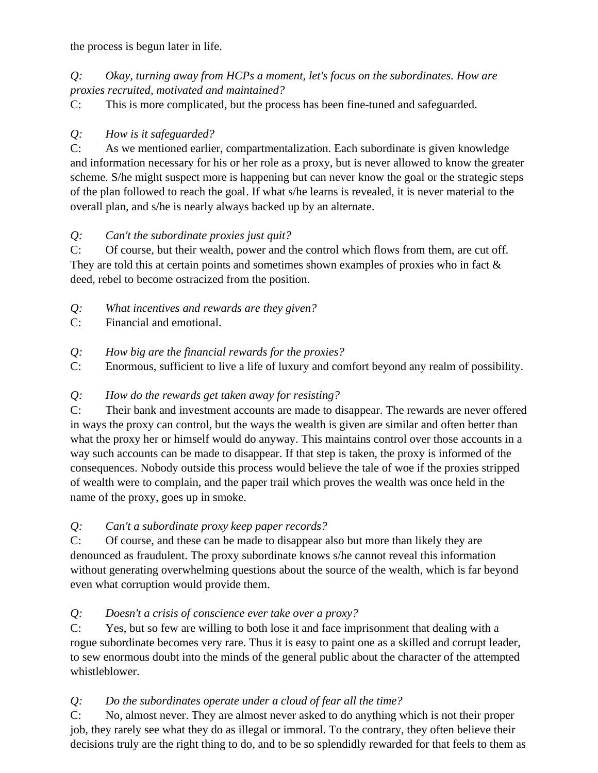the process is begun later in life.

## *Q: Okay, turning away from HCPs a moment, let's focus on the subordinates. How are proxies recruited, motivated and maintained?*

C: This is more complicated, but the process has been fine-tuned and safeguarded.

# *Q: How is it safeguarded?*

C: As we mentioned earlier, compartmentalization. Each subordinate is given knowledge and information necessary for his or her role as a proxy, but is never allowed to know the greater scheme. S/he might suspect more is happening but can never know the goal or the strategic steps of the plan followed to reach the goal. If what s/he learns is revealed, it is never material to the overall plan, and s/he is nearly always backed up by an alternate.

# *Q: Can't the subordinate proxies just quit?*

C: Of course, but their wealth, power and the control which flows from them, are cut off. They are told this at certain points and sometimes shown examples of proxies who in fact & deed, rebel to become ostracized from the position.

- *Q: What incentives and rewards are they given?*
- C: Financial and emotional.
- *Q: How big are the financial rewards for the proxies?*
- C: Enormous, sufficient to live a life of luxury and comfort beyond any realm of possibility.

# *Q: How do the rewards get taken away for resisting?*

C: Their bank and investment accounts are made to disappear. The rewards are never offered in ways the proxy can control, but the ways the wealth is given are similar and often better than what the proxy her or himself would do anyway. This maintains control over those accounts in a way such accounts can be made to disappear. If that step is taken, the proxy is informed of the consequences. Nobody outside this process would believe the tale of woe if the proxies stripped of wealth were to complain, and the paper trail which proves the wealth was once held in the name of the proxy, goes up in smoke.

# *Q: Can't a subordinate proxy keep paper records?*

C: Of course, and these can be made to disappear also but more than likely they are denounced as fraudulent. The proxy subordinate knows s/he cannot reveal this information without generating overwhelming questions about the source of the wealth, which is far beyond even what corruption would provide them.

# *Q: Doesn't a crisis of conscience ever take over a proxy?*

C: Yes, but so few are willing to both lose it and face imprisonment that dealing with a rogue subordinate becomes very rare. Thus it is easy to paint one as a skilled and corrupt leader, to sew enormous doubt into the minds of the general public about the character of the attempted whistleblower.

# *Q: Do the subordinates operate under a cloud of fear all the time?*

C: No, almost never. They are almost never asked to do anything which is not their proper job, they rarely see what they do as illegal or immoral. To the contrary, they often believe their decisions truly are the right thing to do, and to be so splendidly rewarded for that feels to them as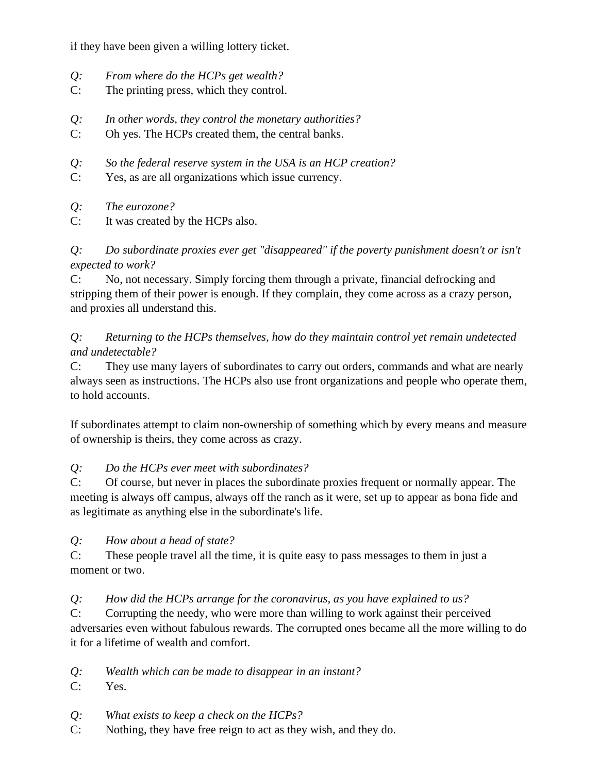if they have been given a willing lottery ticket.

- *Q: From where do the HCPs get wealth?*
- C: The printing press, which they control.
- *Q: In other words, they control the monetary authorities?*
- C: Oh yes. The HCPs created them, the central banks.
- *Q: So the federal reserve system in the USA is an HCP creation?*
- C: Yes, as are all organizations which issue currency.
- *Q: The eurozone?*
- C: It was created by the HCPs also.

*Q: Do subordinate proxies ever get "disappeared" if the poverty punishment doesn't or isn't expected to work?*

C: No, not necessary. Simply forcing them through a private, financial defrocking and stripping them of their power is enough. If they complain, they come across as a crazy person, and proxies all understand this.

*Q: Returning to the HCPs themselves, how do they maintain control yet remain undetected and undetectable?*

C: They use many layers of subordinates to carry out orders, commands and what are nearly always seen as instructions. The HCPs also use front organizations and people who operate them, to hold accounts.

If subordinates attempt to claim non-ownership of something which by every means and measure of ownership is theirs, they come across as crazy.

# *Q: Do the HCPs ever meet with subordinates?*

C: Of course, but never in places the subordinate proxies frequent or normally appear. The meeting is always off campus, always off the ranch as it were, set up to appear as bona fide and as legitimate as anything else in the subordinate's life.

*Q: How about a head of state?* 

C: These people travel all the time, it is quite easy to pass messages to them in just a moment or two.

# *Q: How did the HCPs arrange for the coronavirus, as you have explained to us?*

C: Corrupting the needy, who were more than willing to work against their perceived adversaries even without fabulous rewards. The corrupted ones became all the more willing to do it for a lifetime of wealth and comfort.

- *Q: Wealth which can be made to disappear in an instant?*
- C: Yes.
- *Q: What exists to keep a check on the HCPs?*
- C: Nothing, they have free reign to act as they wish, and they do.